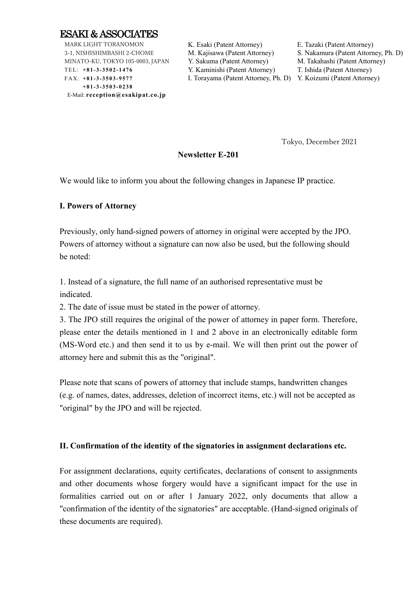

MARK LIGHT TORANOMON 3-1, NISHISHIMBASHI 2-CHOME MINATO-KU, TOKYO 105-0003, JAPAN TEL: **+8 1 -3 -3 5 0 2 -1 4 76** FAX: **+8 1 -3 -3 5 0 3 -9 5 77 +8 1 -3 -3 5 0 3 -0 2 38** E-Mail: **reception@esakipat.co.jp**

K. Esaki (Patent Attorney) E. Tazaki (Patent Attorney) Y. Sakuma (Patent Attorney) M. Takahashi (Patent Attorney)

Y. Kaminishi (Patent Attorney) T. Ishida (Patent Attorney)

M. Kajisawa (Patent Attorney) S. Nakamura (Patent Attorney, Ph. D)

I. Torayama (Patent Attorney, Ph. D) Y. Koizumi (Patent Attorney)

Tokyo, December 2021

### **Newsletter E-201**

We would like to inform you about the following changes in Japanese IP practice.

### **I. Powers of Attorney**

Previously, only hand-signed powers of attorney in original were accepted by the JPO. Powers of attorney without a signature can now also be used, but the following should be noted:

1. Instead of a signature, the full name of an authorised representative must be indicated.

2. The date of issue must be stated in the power of attorney.

3. The JPO still requires the original of the power of attorney in paper form. Therefore, please enter the details mentioned in 1 and 2 above in an electronically editable form (MS-Word etc.) and then send it to us by e-mail. We will then print out the power of attorney here and submit this as the "original".

Please note that scans of powers of attorney that include stamps, handwritten changes (e.g. of names, dates, addresses, deletion of incorrect items, etc.) will not be accepted as "original" by the JPO and will be rejected.

## **II. Confirmation of the identity of the signatories in assignment declarations etc.**

For assignment declarations, equity certificates, declarations of consent to assignments and other documents whose forgery would have a significant impact for the use in formalities carried out on or after 1 January 2022, only documents that allow a "confirmation of the identity of the signatories" are acceptable. (Hand-signed originals of these documents are required).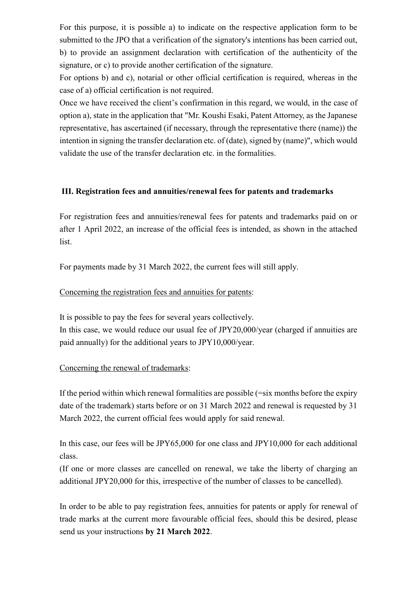For this purpose, it is possible a) to indicate on the respective application form to be submitted to the JPO that a verification of the signatory's intentions has been carried out, b) to provide an assignment declaration with certification of the authenticity of the signature, or c) to provide another certification of the signature.

For options b) and c), notarial or other official certification is required, whereas in the case of a) official certification is not required.

Once we have received the client's confirmation in this regard, we would, in the case of option a), state in the application that "Mr. Koushi Esaki, Patent Attorney, as the Japanese representative, has ascertained (if necessary, through the representative there (name)) the intention in signing the transfer declaration etc. of (date), signed by (name)", which would validate the use of the transfer declaration etc. in the formalities.

## **III. Registration fees and annuities/renewal fees for patents and trademarks**

For registration fees and annuities/renewal fees for patents and trademarks paid on or after 1 April 2022, an increase of the official fees is intended, as shown in the attached list.

For payments made by 31 March 2022, the current fees will still apply.

## Concerning the registration fees and annuities for patents:

It is possible to pay the fees for several years collectively. In this case, we would reduce our usual fee of JPY20,000/year (charged if annuities are paid annually) for the additional years to JPY10,000/year.

## Concerning the renewal of trademarks:

If the period within which renewal formalities are possible  $(=\sin \theta)$  months before the expiry date of the trademark) starts before or on 31 March 2022 and renewal is requested by 31 March 2022, the current official fees would apply for said renewal.

In this case, our fees will be JPY65,000 for one class and JPY10,000 for each additional class.

(If one or more classes are cancelled on renewal, we take the liberty of charging an additional JPY20,000 for this, irrespective of the number of classes to be cancelled).

In order to be able to pay registration fees, annuities for patents or apply for renewal of trade marks at the current more favourable official fees, should this be desired, please send us your instructions **by 21 March 2022**.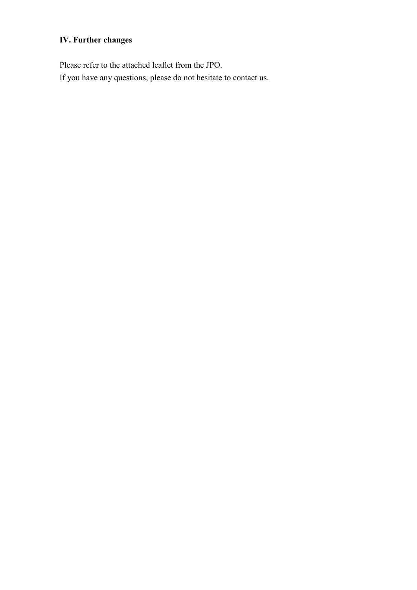## **IV. Further changes**

Please refer to the attached leaflet from the JPO. If you have any questions, please do not hesitate to contact us.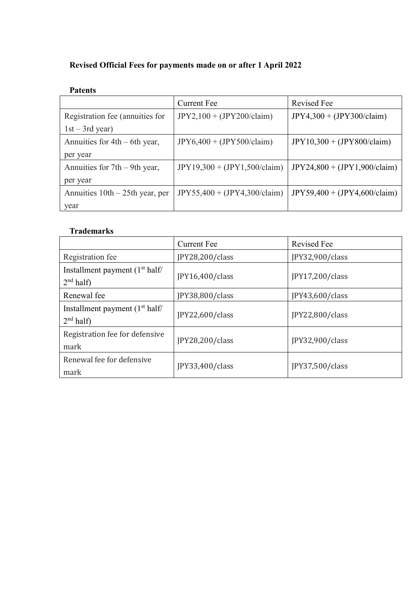## **Revised Official Fees for payments made on or after 1 April 2022**

## **Patents**

|                                   | <b>Current Fee</b>             | <b>Revised Fee</b>             |
|-----------------------------------|--------------------------------|--------------------------------|
| Registration fee (annuities for   | $JPY2,100 + (JPY200/claim)$    | $JPY4,300 + (JPY300/claim)$    |
| $1st - 3rd$ year)                 |                                |                                |
| Annuities for $4th - 6th$ year,   | $JPY6,400 + (JPY500/claim)$    | $JPY10,300 + (JPY800/claim)$   |
| per year                          |                                |                                |
| Annuities for $7th - 9th$ year,   | $JPY19,300 + (JPY1,500/claim)$ | $JPY24,800 + (JPY1,900/claim)$ |
| per year                          |                                |                                |
| Annuities $10th - 25th$ year, per | $JPY55,400 + (JPY4,300/claim)$ | $JPY59,400 + (JPY4,600/claim)$ |
| year                              |                                |                                |

## **Trademarks**

|                                                          | <b>Current Fee</b> | <b>Revised Fee</b> |
|----------------------------------------------------------|--------------------|--------------------|
| Registration fee                                         | JPY28,200/class    | JPY32,900/class    |
| Installment payment $(1st half)$<br>$2nd$ half)          | IPY16,400/class    | JPY17,200/class    |
| Renewal fee                                              | JPY38,800/class    | JPY43,600/class    |
| Installment payment $(1st half)$<br>2 <sup>nd</sup> half | JPY22,600/class    | JPY22,800/class    |
| Registration fee for defensive<br>mark                   | JPY28,200/class    | JPY32,900/class    |
| Renewal fee for defensive<br>mark                        | JPY33,400/class    | JPY37,500/class    |